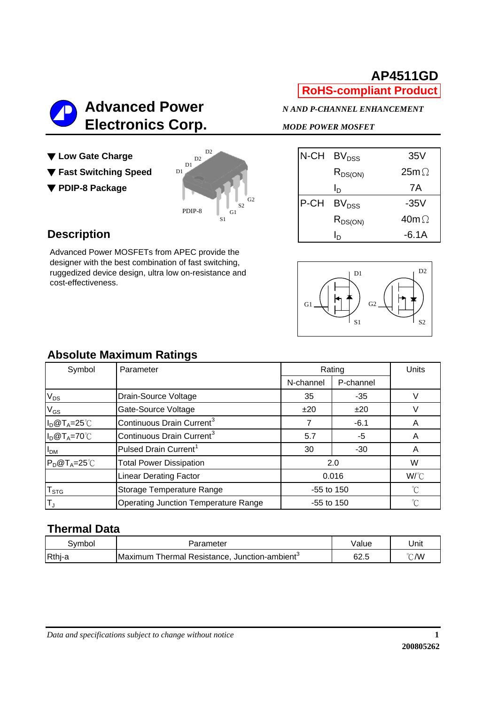

### **AP4511GD RoHS-compliant Product**

- ▼ Low Gate Charge ▼ Fast Switching Speed
- ▼ PDIP-8 Package



|      | N-CH BV <sub>DSS</sub> | 35V          |
|------|------------------------|--------------|
|      | $R_{DS(ON)}$           | $25m\Omega$  |
|      | Iь                     | 7A           |
| P-CH | BV <sub>DSS</sub>      | $-35V$       |
|      | $R_{DS(ON)}$           | 40m $\Omega$ |
|      | חו                     | $-6.1A$      |

### **Description**

Advanced Power MOSFETs from APEC provide the designer with the best combination of fast switching, ruggedized device design, ultra low on-resistance and cost-effectiveness.



### **Absolute Maximum Ratings**

| Symbol                      | Parameter                                   |              | Rating    | Units       |
|-----------------------------|---------------------------------------------|--------------|-----------|-------------|
|                             |                                             | N-channel    | P-channel |             |
| $V_{DS}$                    | Drain-Source Voltage                        | 35           | $-35$     | V           |
| $V_{GS}$                    | Gate-Source Voltage                         | ±20          | ±20       |             |
| $I_D@T_A=25°C$              | Continuous Drain Current <sup>3</sup>       |              | $-6.1$    | A           |
| $I_D@T_A=70°C$              | Continuous Drain Current <sup>3</sup>       | 5.7          | -5        | A           |
| I <sub>DM</sub>             | Pulsed Drain Current <sup>1</sup>           | 30           | $-30$     | A           |
| $P_D@T_A=25^{\circ}C$       | <b>Total Power Dissipation</b>              |              | 2.0       | W           |
|                             | <b>Linear Derating Factor</b>               |              | 0.016     | W/°C        |
| $\mathsf{T}_{\textsf{STG}}$ | Storage Temperature Range                   | -55 to 150   |           | $^{\circ}C$ |
| $T_{J}$                     | <b>Operating Junction Temperature Range</b> | $-55$ to 150 |           | °C          |

### **Thermal Data**

| ا∨mbo  | Parameter                                                          | Value | Unit |
|--------|--------------------------------------------------------------------|-------|------|
| Rthj-a | Thermal Resistance.<br>, Junction-ambient <sup>o</sup><br>∎Maximum | 62.5  | ℃∕W  |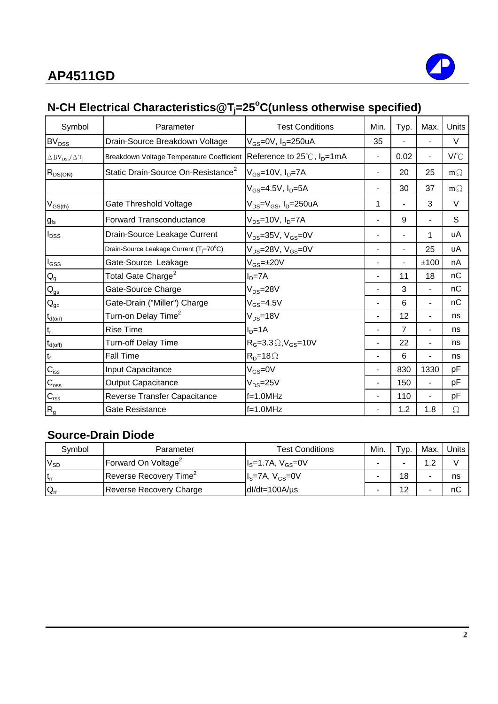

# **N-CH Electrical Characteristics@Tj =25o C(unless otherwise specified)**

| Symbol                                                     | Parameter                                           | <b>Test Conditions</b>                                   | Min. | Typ.           | Max.                     | Units     |
|------------------------------------------------------------|-----------------------------------------------------|----------------------------------------------------------|------|----------------|--------------------------|-----------|
| $BV_{DSS}$                                                 | Drain-Source Breakdown Voltage                      | V <sub>GS</sub> =0V, I <sub>D</sub> =250uA               | 35   |                |                          | V         |
| $\triangle$ BV <sub>DSS</sub> / $\triangle$ T <sub>i</sub> | Breakdown Voltage Temperature Coefficient           | Reference to 25℃, I <sub>D</sub> =1mA                    |      | 0.02           | $\overline{\phantom{a}}$ | V/°C      |
| $R_{DS(ON)}$                                               | Static Drain-Source On-Resistance <sup>2</sup>      | $V_{GS}$ =10V, $I_D$ =7A                                 |      | 20             | 25                       | $m\Omega$ |
|                                                            |                                                     | $V_{GS}$ =4.5V, $I_{D}$ =5A                              |      | 30             | 37                       | $m\Omega$ |
| $V_{GS(th)}$                                               | Gate Threshold Voltage                              | V <sub>DS</sub> =V <sub>GS</sub> , I <sub>D</sub> =250uA | 1    |                | 3                        | V         |
| $g_{fs}$                                                   | <b>Forward Transconductance</b>                     | V <sub>DS</sub> =10V, I <sub>D</sub> =7A                 |      | 9              |                          | S         |
| $I_{DSS}$                                                  | Drain-Source Leakage Current                        | $V_{DS}$ =35V, $V_{GS}$ =0V                              |      |                | 1                        | uA        |
|                                                            | Drain-Source Leakage Current (T <sub>j</sub> =70°C) | V <sub>DS</sub> =28V, V <sub>GS</sub> =0V                |      |                | 25                       | uA        |
| $I_{GSS}$                                                  | Gate-Source Leakage                                 | V <sub>GS</sub> =±20V                                    |      |                | ±100                     | nA        |
| $Q_g$                                                      | Total Gate Charge <sup>2</sup>                      | $ID=7A$                                                  |      | 11             | 18                       | nC        |
| $\mathsf{Q}_{\mathsf{gs}}$                                 | Gate-Source Charge                                  | $V_{DS} = 28V$                                           |      | 3              | ٠                        | nC        |
| $\mathsf{Q}_{\underline{\mathsf{gd}}}$                     | Gate-Drain ("Miller") Charge                        | $V_{GS} = 4.5V$                                          |      | 6              | $\overline{\phantom{0}}$ | nС        |
| $t_{d(on)}$                                                | Turn-on Delay Time <sup>2</sup>                     | $V_{DS} = 18V$                                           |      | 12             | $\overline{\phantom{0}}$ | ns        |
| $t_{\sf r}$                                                | <b>Rise Time</b>                                    | $ID=1A$                                                  |      | $\overline{7}$ | $\blacksquare$           | ns        |
| $t_{d(off)}$                                               | <b>Turn-off Delay Time</b>                          | $R_G = 3.3 \Omega$ , $V_{GS} = 10V$                      |      | 22             | Ξ.                       | ns        |
| $t_f$                                                      | <b>Fall Time</b>                                    | $R_D = 18 \Omega$                                        |      | 6              | $\overline{\phantom{a}}$ | ns        |
| $C_{\text{iss}}$                                           | Input Capacitance                                   | $V_{GS} = 0V$                                            |      | 830            | 1330                     | pF        |
| $C_{\rm oss}$                                              | <b>Output Capacitance</b>                           | $V_{DS} = 25V$                                           |      | 150            | $\overline{\phantom{0}}$ | pF        |
| $C_{\text{rss}}$                                           | Reverse Transfer Capacitance                        | $f=1.0$ MHz                                              |      | 110            | $\overline{\phantom{0}}$ | рF        |
| $R_{g}$                                                    | Gate Resistance                                     | $f=1.0$ MHz                                              |      | 1.2            | 1.8                      | $\Omega$  |

### **Source-Drain Diode**

| Symbol   | Parameter                          | <b>Test Conditions</b>                                   | Min.                     | $\tau_{VD}$ . | Max. | Units |
|----------|------------------------------------|----------------------------------------------------------|--------------------------|---------------|------|-------|
| $V_{SD}$ | Forward On Voltage <sup>2</sup>    | $\mathsf{II}_\mathrm{S} = 1.7$ A, V $_\mathrm{GS} = 0$ V | -                        |               | ົ    |       |
| $t_{rr}$ | Reverse Recovery Time <sup>2</sup> | $Is=7A, VGS=0V$                                          | $\overline{\phantom{0}}$ | 18            |      | ns    |
| $Q_{rr}$ | Reverse Recovery Charge            | $dl/dt = 100A/\mu s$                                     | -                        | $\sim$        | -    | nС    |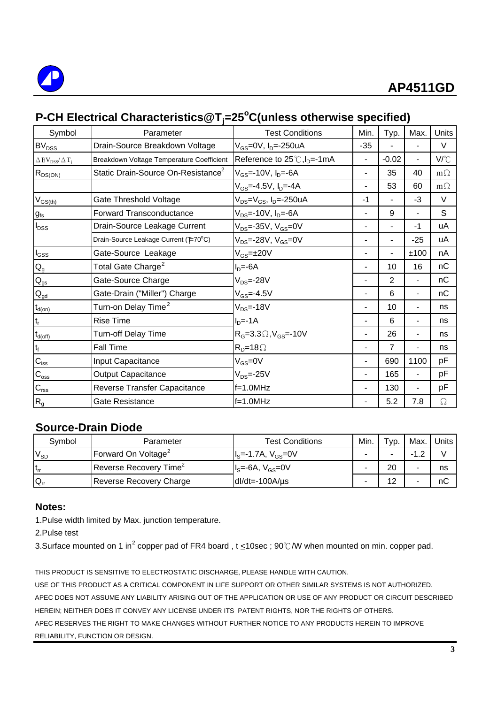

# **P-CH Electrical Characteristics@Tj=25<sup>o</sup> C(unless otherwise specified)**

| Symbol                                               | Parameter                                      | <b>Test Conditions</b>                     | Min.           | Typ.           | Max.                     | Units     |
|------------------------------------------------------|------------------------------------------------|--------------------------------------------|----------------|----------------|--------------------------|-----------|
| BV <sub>DSS</sub>                                    | Drain-Source Breakdown Voltage                 | $V_{GS} = 0V$ , $I_D = -250uA$             | $-35$          |                |                          | V         |
| $\Delta$ BV <sub>DSS</sub> / $\Delta$ T <sub>j</sub> | Breakdown Voltage Temperature Coefficient      | Reference to $25^{\circ}$ C, $I_{D}$ =-1mA | $\overline{a}$ | $-0.02$        | $\overline{\phantom{0}}$ | V/°C      |
| $R_{DS(ON)}$                                         | Static Drain-Source On-Resistance <sup>2</sup> | $V_{GS}$ =-10V, $I_{D}$ =-6A               | $\blacksquare$ | 35             | 40                       | $m\Omega$ |
|                                                      |                                                | $V_{GS}$ =-4.5V, $I_{D}$ =-4A              |                | 53             | 60                       | $m\Omega$ |
| $V_{GS(th)}$                                         | Gate Threshold Voltage                         | $V_{DS} = V_{GS}$ , I <sub>D</sub> =-250uA | -1             |                | $-3$                     | V         |
| $g_{\rm fs}$                                         | <b>Forward Transconductance</b>                | $V_{DS}$ =-10V, $I_{D}$ =-6A               |                | 9              |                          | S         |
| $I_{DSS}$                                            | Drain-Source Leakage Current                   | $V_{DS} = -35V$ , $V_{GS} = 0V$            | $\overline{a}$ | $\blacksquare$ | $-1$                     | uA        |
|                                                      | Drain-Source Leakage Current (F70°C)           | $V_{DS}$ =-28V, $V_{GS}$ =0V               |                |                | $-25$                    | uA        |
| $I_{GSS}$                                            | Gate-Source Leakage                            | $V_{GS} = \pm 20V$                         |                |                | ±100                     | nA        |
| $\mathsf{Q}_{\mathsf{g}}$                            | Total Gate Charge <sup>2</sup>                 | $ID=-6A$                                   |                | 10             | 16                       | nC        |
| $\mathsf{Q}_{\mathsf{gs}}$                           | Gate-Source Charge                             | $V_{DS} = -28V$                            |                | $\mathbf{2}$   | $\overline{\phantom{0}}$ | nC        |
| $Q_{\underline{gd}}$                                 | Gate-Drain ("Miller") Charge                   | $V_{GS} = -4.5V$                           | $\blacksquare$ | 6              | $\blacksquare$           | nC        |
| $t_{\underline{\text{d}(on)}}$                       | Turn-on Delay Time <sup>2</sup>                | $V_{DS} = -18V$                            |                | 10             |                          | ns        |
| $\mathsf{t}_{\mathsf{r}}$                            | <b>Rise Time</b>                               | $ID=-1A$                                   |                | 6              |                          | ns        |
| $t_{d(\text{off})}$                                  | Turn-off Delay Time                            | $R_{G} = 3.3 \Omega$ , $V_{GS} = -10V$     |                | 26             |                          | ns        |
| $t_f$                                                | <b>Fall Time</b>                               | $RD=18\Omega$                              |                | 7              |                          | ns        |
| $C_{\text{iss}}$                                     | Input Capacitance                              | $V_{GS} = 0V$                              |                | 690            | 1100                     | pF        |
| $C_{\rm oss}$                                        | <b>Output Capacitance</b>                      | $V_{DS} = -25V$                            | $\overline{a}$ | 165            | $\overline{\phantom{0}}$ | pF        |
| $\mathbf{C}_{\text{rss}}$                            | Reverse Transfer Capacitance                   | f=1.0MHz                                   |                | 130            |                          | рF        |
| $R_{g}$                                              | Gate Resistance                                | $f=1.0$ MHz                                |                | 5.2            | 7.8                      | $\Omega$  |

### **Source-Drain Diode**

| Svmbol     | Parameter                          | <b>Test Conditions</b>                     | Min. | $\tau_{VD}$ .  | Max.           | Units i |
|------------|------------------------------------|--------------------------------------------|------|----------------|----------------|---------|
| $V_{SD}$   | Forward On Voltage <sup>2</sup>    | I <sub>s</sub> =-1.7A, V <sub>GS</sub> =0V |      |                | $\overline{ }$ |         |
| $ t_{rr} $ | Reverse Recovery Time <sup>2</sup> | $Is=-6A, VGS=0V$                           |      | 20             |                | ns      |
| $Q_{rr}$   | Reverse Recovery Charge            | $dl/dt = -100A/\mu s$                      |      | $\overline{2}$ |                | nС      |

### **Notes:**

1.Pulse width limited by Max. junction temperature.

2.Pulse test

3.Surface mounted on 1 in<sup>2</sup> copper pad of FR4 board , t <u><</u>10sec ; 90℃/W when mounted on min. copper pad.

THIS PRODUCT IS SENSITIVE TO ELECTROSTATIC DISCHARGE, PLEASE HANDLE WITH CAUTION.

USE OF THIS PRODUCT AS A CRITICAL COMPONENT IN LIFE SUPPORT OR OTHER SIMILAR SYSTEMS IS NOT AUTHORIZED. APEC DOES NOT ASSUME ANY LIABILITY ARISING OUT OF THE APPLICATION OR USE OF ANY PRODUCT OR CIRCUIT DESCRIBED HEREIN; NEITHER DOES IT CONVEY ANY LICENSE UNDER ITS PATENT RIGHTS, NOR THE RIGHTS OF OTHERS. APEC RESERVES THE RIGHT TO MAKE CHANGES WITHOUT FURTHER NOTICE TO ANY PRODUCTS HEREIN TO IMPROVE RELIABILITY, FUNCTION OR DESIGN.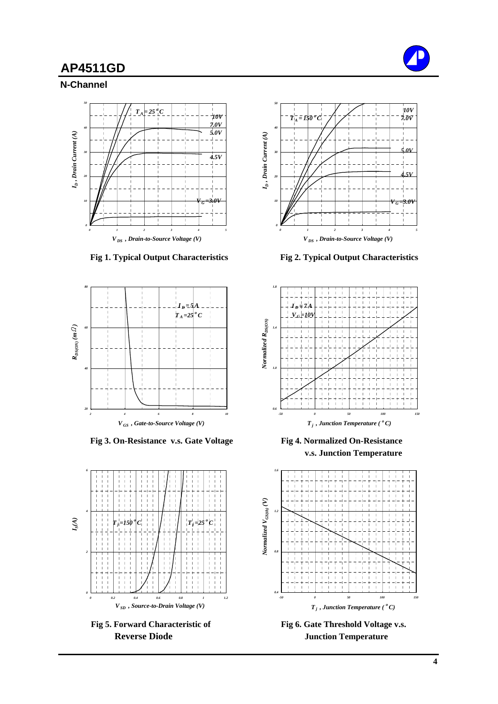

**N-Channel**





 **Fig 3. On-Resistance v.s. Gate Voltage Fig 4. Normalized On-Resistance**





 **Fig 1. Typical Output Characteristics Fig 2. Typical Output Characteristics**



 **v.s. Junction Temperature**



Fig 5. Forward Characteristic of Fig 6. Gate Threshold Voltage v.s. **Reverse Diode Junction Temperature**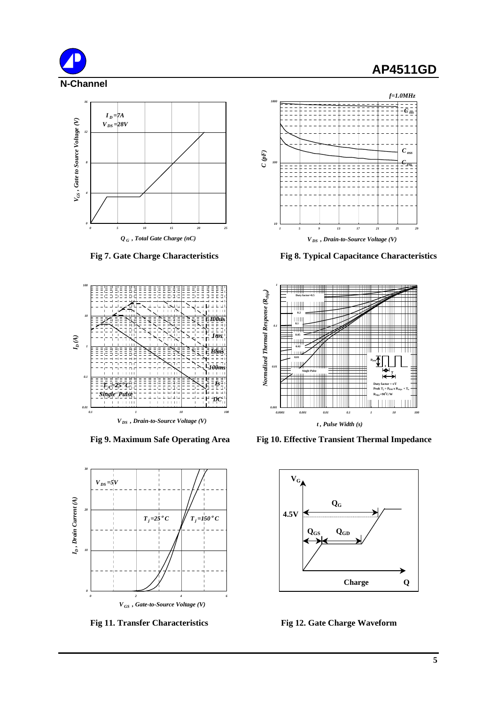









 **Fig 7. Gate Charge Characteristics Fig 8. Typical Capacitance Characteristics**



Fig 9. Maximum Safe Operating Area Fig 10. Effective Transient Thermal Impedance



**Fig 11. Transfer Characteristics** Fig 12. Gate Charge Waveform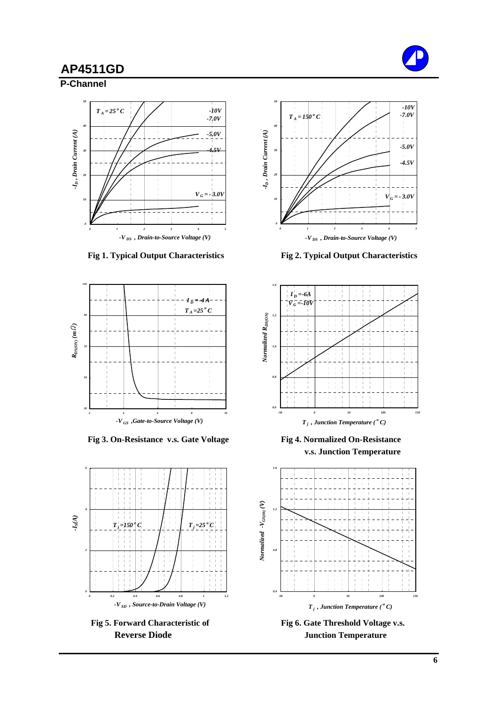





 **Fig 3. On-Resistance v.s. Gate Voltage Fig 4. Normalized On-Resistance**





 **Fig 1. Typical Output Characteristics Fig 2. Typical Output Characteristics**



 **v.s. Junction Temperature**



**Reverse Diode Junction Temperature**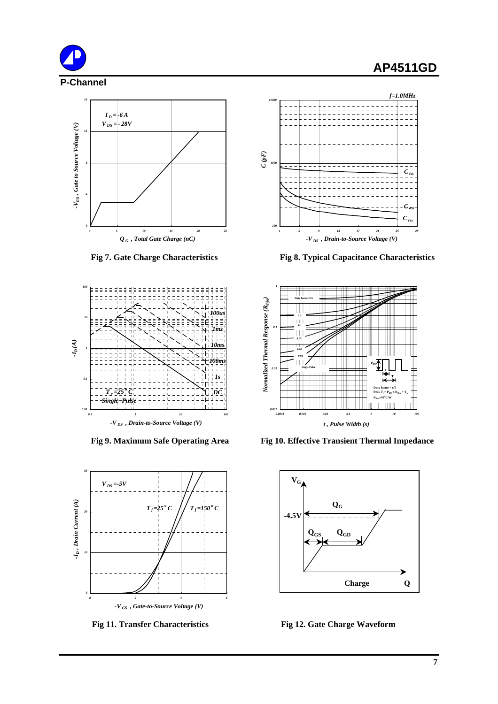







**Fig 7. Gate Charge Characteristics Fig 8. Typical Capacitance Characteristics**



Fig 9. Maximum Safe Operating Area Fig 10. Effective Transient Thermal Impedance



 **Fig 11. Transfer Characteristics Fig 12. Gate Charge Waveform**